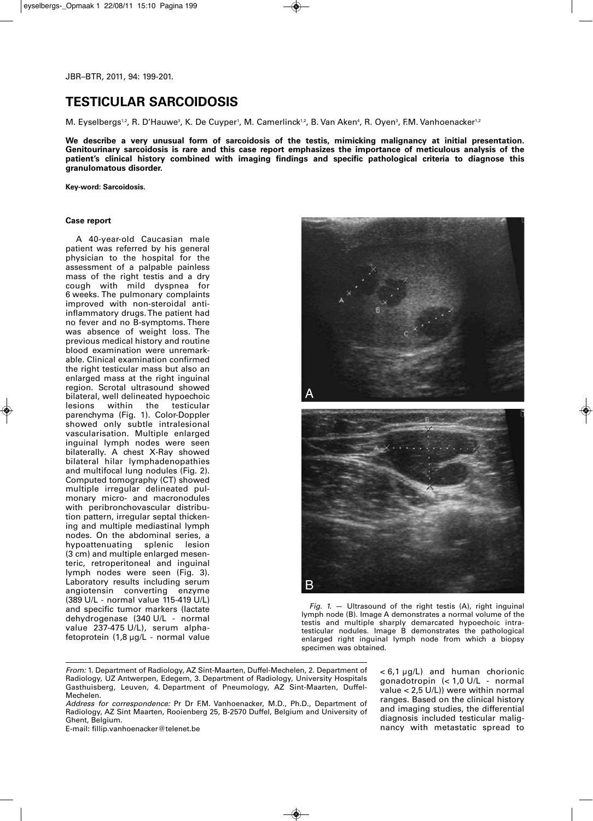# **TESTICULAR SARCOIDOSIS**

M. Eyselbergs'<sup>,</sup>, R. D'Hauwe<sup>3</sup>, K. De Cuyper', M. Camerlinck'<sup>,</sup>, B. Van Aken<del>'</del>, R. Oyen<sup>3</sup>, F.M. Vanhoenacker'<sup>,</sup>

**We describe a very unusual form of sarcoidosis of the testis, mimicking malignancy at initial presentation. Genitourinary sarcoidosis is rare and this case report emphasizes the importance of meticulous analysis of the patient's clinical history combined with imaging findings and specific pathological criteria to diagnose this granulomatous disorder.** 

**Key-word: Sarcoidosis.**

## **Case report**

A 40-year-old Caucasian male patient was referred by his general physician to the hospital for the assessment of a palpable painless mass of the right testis and a dry cough with mild dyspnea for 6 weeks. The pulmonary complaints improved with non-steroidal antiinflammatory drugs. The patient had no fever and no B-symptoms. There was absence of weight loss. The previous medical history and routine blood examination were unremarkable. Clinical examination confirmed the right testicular mass but also an enlarged mass at the right inguinal region. Scrotal ultrasound showed bilateral, well delineated hypoechoic lesions within the testicular parenchyma (Fig. 1). Color-Doppler showed only subtle intralesional vascularisation. Multiple enlarged inguinal lymph nodes were seen bilaterally. A chest X-Ray showed bilateral hilar lymphadenopathies and multifocal lung nodules (Fig. 2). Computed tomography (CT) showed multiple irregular delineated pulmonary micro- and macronodules with peribronchovascular distribution pattern, irregular septal thickening and multiple mediastinal lymph nodes. On the abdominal series, a<br>hypoattenuating splenic lesion hypoattenuating (3 cm) and multiple enlarged mesenteric, retroperitoneal and inguinal lymph nodes were seen (Fig. 3). Laboratory results including serum angiotensin converting enzyme (389 U/L - normal value 115-419 U/L) and specific tumor markers (lactate dehydrogenase (340 U/L - normal value 237-475 U/L), serum alphafetoprotein (1,8 µg/L - normal value



*Fig. 1.* — Ultrasound of the right testis (A), right inguinal lymph node (B). Image A demonstrates a normal volume of the testis and multiple sharply demarcated hypoechoic intratesticular nodules. Image B demonstrates the pathological enlarged right inguinal lymph node from which a biopsy specimen was obtained.

- *From:* 1. Department of Radiology, AZ Sint-Maarten, Duffel-Mechelen, 2. Department of Radiology, UZ Antwerpen, Edegem, 3. Department of Radiology, University Hospitals Gasthuisberg, Leuven, 4. Department of Pneumology, AZ Sint-Maarten, Duffel-Mechelen.
- *Address for correspondence:* Pr Dr F.M. Vanhoenacker, M.D., Ph.D., Department of Radiology, AZ Sint Maarten, Rooienberg 25, B-2570 Duffel, Belgium and University of Ghent, Belgium.

E-mail: fillip.vanhoenacker@telenet.be

< 6,1 µg/L) and human chorionic gonadotropin (< 1,0 U/L - normal value < 2,5 U/L)) were within normal ranges. Based on the clinical history and imaging studies, the differential diagnosis included testicular malignancy with metastatic spread to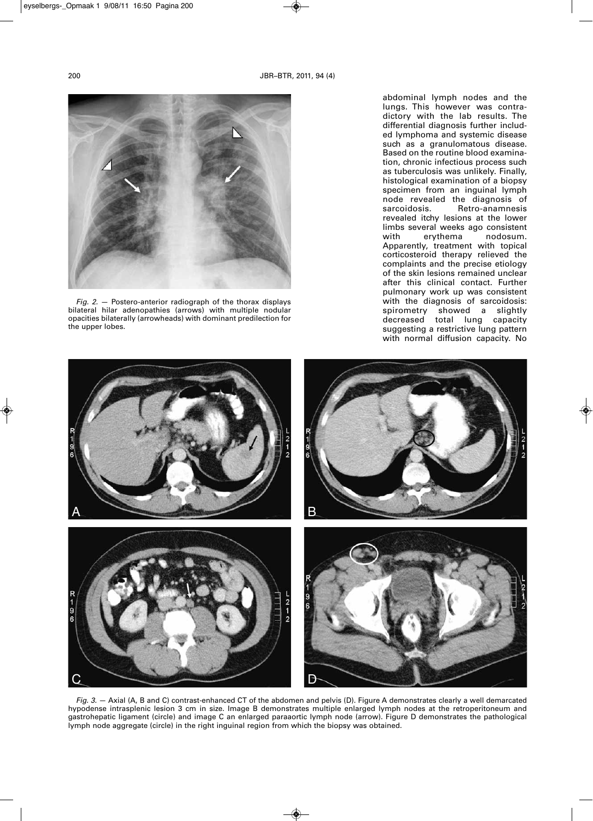

*Fig. 2.* — Postero-anterior radiograph of the thorax displays bilateral hilar adenopathies (arrows) with multiple nodular opacities bilaterally (arrowheads) with dominant predilection for the upper lobes.

abdominal lymph nodes and the lungs. This however was contradictory with the lab results. The differential diagnosis further included lymphoma and systemic disease such as a granulomatous disease. Based on the routine blood examination, chronic infectious process such as tuberculosis was unlikely. Finally, histological examination of a biopsy specimen from an inguinal lymph node revealed the diagnosis of Retro-anamnesis revealed itchy lesions at the lower limbs several weeks ago consistent<br>with erythema nodosum. nodosum. Apparently, treatment with topical corticosteroid therapy relieved the complaints and the precise etiology of the skin lesions remained unclear after this clinical contact. Further pulmonary work up was consistent with the diagnosis of sarcoidosis: spirometry showed a slightly decreased total lung capacity suggesting a restrictive lung pattern with normal diffusion capacity. No



*Fig. 3.* — Axial (A, B and C) contrast-enhanced CT of the abdomen and pelvis (D). Figure A demonstrates clearly a well demarcated hypodense intrasplenic lesion 3 cm in size. Image B demonstrates multiple enlarged lymph nodes at the retroperitoneum and gastrohepatic ligament (circle) and image C an enlarged paraaortic lymph node (arrow). Figure D demonstrates the pathological lymph node aggregate (circle) in the right inguinal region from which the biopsy was obtained.